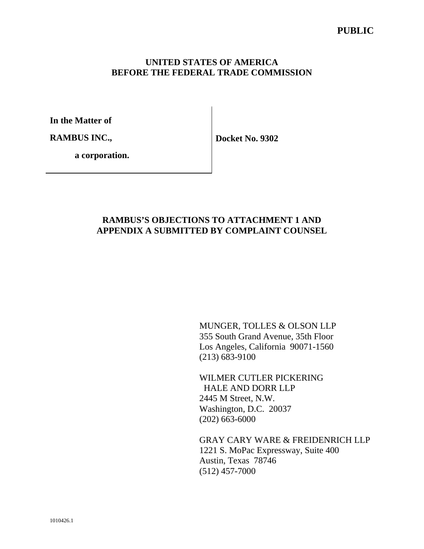## **UNITED STATES OF AMERICA BEFORE THE FEDERAL TRADE COMMISSION**

**In the Matter of** 

**RAMBUS INC.,** 

**Docket No. 9302** 

 **a corporation.**

## **RAMBUS'S OBJECTIONS TO ATTACHMENT 1 AND APPENDIX A SUBMITTED BY COMPLAINT COUNSEL**

MUNGER, TOLLES & OLSON LLP 355 South Grand Avenue, 35th Floor Los Angeles, California 90071-1560 (213) 683-9100

WILMER CUTLER PICKERING HALE AND DORR LLP 2445 M Street, N.W. Washington, D.C. 20037 (202) 663-6000

GRAY CARY WARE & FREIDENRICH LLP 1221 S. MoPac Expressway, Suite 400 Austin, Texas 78746 (512) 457-7000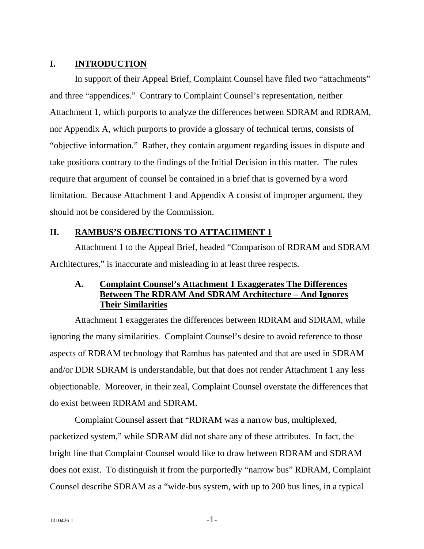## **I. INTRODUCTION**

In support of their Appeal Brief, Complaint Counsel have filed two "attachments" and three "appendices." Contrary to Complaint Counsel's representation, neither Attachment 1, which purports to analyze the differences between SDRAM and RDRAM, nor Appendix A, which purports to provide a glossary of technical terms, consists of "objective information." Rather, they contain argument regarding issues in dispute and take positions contrary to the findings of the Initial Decision in this matter. The rules require that argument of counsel be contained in a brief that is governed by a word limitation. Because Attachment 1 and Appendix A consist of improper argument, they should not be considered by the Commission.

## **II. RAMBUS'S OBJECTIONS TO ATTACHMENT 1**

Attachment 1 to the Appeal Brief, headed "Comparison of RDRAM and SDRAM Architectures," is inaccurate and misleading in at least three respects.

## **A. Complaint Counsel's Attachment 1 Exaggerates The Differences Between The RDRAM And SDRAM Architecture – And Ignores Their Similarities**

Attachment 1 exaggerates the differences between RDRAM and SDRAM, while ignoring the many similarities. Complaint Counsel's desire to avoid reference to those aspects of RDRAM technology that Rambus has patented and that are used in SDRAM and/or DDR SDRAM is understandable, but that does not render Attachment 1 any less objectionable. Moreover, in their zeal, Complaint Counsel overstate the differences that do exist between RDRAM and SDRAM.

Complaint Counsel assert that "RDRAM was a narrow bus, multiplexed, packetized system," while SDRAM did not share any of these attributes. In fact, the bright line that Complaint Counsel would like to draw between RDRAM and SDRAM does not exist. To distinguish it from the purportedly "narrow bus" RDRAM, Complaint Counsel describe SDRAM as a "wide-bus system, with up to 200 bus lines, in a typical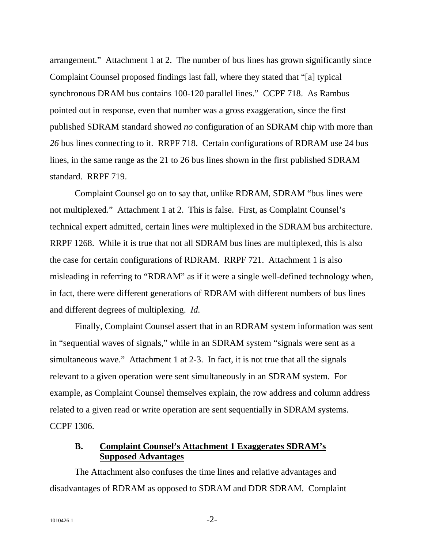arrangement." Attachment 1 at 2. The number of bus lines has grown significantly since Complaint Counsel proposed findings last fall, where they stated that "[a] typical synchronous DRAM bus contains 100-120 parallel lines." CCPF 718. As Rambus pointed out in response, even that number was a gross exaggeration, since the first published SDRAM standard showed *no* configuration of an SDRAM chip with more than *26* bus lines connecting to it. RRPF 718. Certain configurations of RDRAM use 24 bus lines, in the same range as the 21 to 26 bus lines shown in the first published SDRAM standard. RRPF 719.

Complaint Counsel go on to say that, unlike RDRAM, SDRAM "bus lines were not multiplexed." Attachment 1 at 2. This is false. First, as Complaint Counsel's technical expert admitted, certain lines *were* multiplexed in the SDRAM bus architecture. RRPF 1268. While it is true that not all SDRAM bus lines are multiplexed, this is also the case for certain configurations of RDRAM. RRPF 721. Attachment 1 is also misleading in referring to "RDRAM" as if it were a single well-defined technology when, in fact, there were different generations of RDRAM with different numbers of bus lines and different degrees of multiplexing. *Id.* 

Finally, Complaint Counsel assert that in an RDRAM system information was sent in "sequential waves of signals," while in an SDRAM system "signals were sent as a simultaneous wave." Attachment 1 at 2-3. In fact, it is not true that all the signals relevant to a given operation were sent simultaneously in an SDRAM system. For example, as Complaint Counsel themselves explain, the row address and column address related to a given read or write operation are sent sequentially in SDRAM systems. CCPF 1306.

## **B. Complaint Counsel's Attachment 1 Exaggerates SDRAM's Supposed Advantages**

The Attachment also confuses the time lines and relative advantages and disadvantages of RDRAM as opposed to SDRAM and DDR SDRAM. Complaint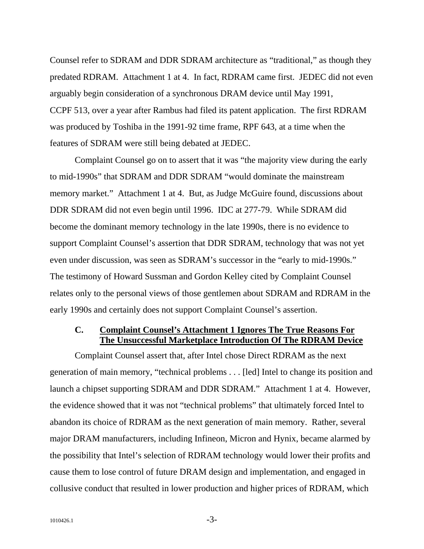Counsel refer to SDRAM and DDR SDRAM architecture as "traditional," as though they predated RDRAM. Attachment 1 at 4. In fact, RDRAM came first. JEDEC did not even arguably begin consideration of a synchronous DRAM device until May 1991, CCPF 513, over a year after Rambus had filed its patent application. The first RDRAM was produced by Toshiba in the 1991-92 time frame, RPF 643, at a time when the features of SDRAM were still being debated at JEDEC.

Complaint Counsel go on to assert that it was "the majority view during the early to mid-1990s" that SDRAM and DDR SDRAM "would dominate the mainstream memory market." Attachment 1 at 4. But, as Judge McGuire found, discussions about DDR SDRAM did not even begin until 1996. IDC at 277-79. While SDRAM did become the dominant memory technology in the late 1990s, there is no evidence to support Complaint Counsel's assertion that DDR SDRAM, technology that was not yet even under discussion, was seen as SDRAM's successor in the "early to mid-1990s." The testimony of Howard Sussman and Gordon Kelley cited by Complaint Counsel relates only to the personal views of those gentlemen about SDRAM and RDRAM in the early 1990s and certainly does not support Complaint Counsel's assertion.

## **C. Complaint Counsel's Attachment 1 Ignores The True Reasons For The Unsuccessful Marketplace Introduction Of The RDRAM Device**

Complaint Counsel assert that, after Intel chose Direct RDRAM as the next generation of main memory, "technical problems . . . [led] Intel to change its position and launch a chipset supporting SDRAM and DDR SDRAM." Attachment 1 at 4. However, the evidence showed that it was not "technical problems" that ultimately forced Intel to abandon its choice of RDRAM as the next generation of main memory. Rather, several major DRAM manufacturers, including Infineon, Micron and Hynix, became alarmed by the possibility that Intel's selection of RDRAM technology would lower their profits and cause them to lose control of future DRAM design and implementation, and engaged in collusive conduct that resulted in lower production and higher prices of RDRAM, which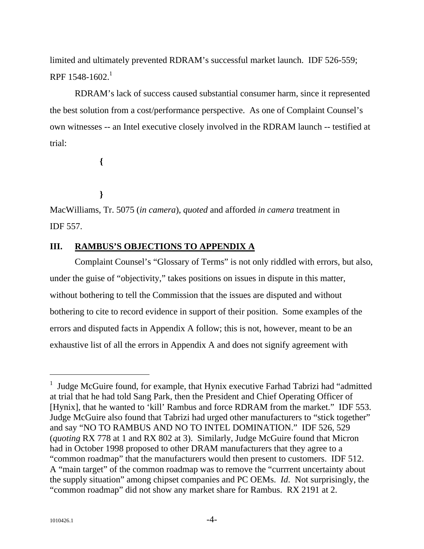limited and ultimately prevented RDRAM's successful market launch. IDF 526-559; RPF  $1548-1602$ <sup>1</sup>

RDRAM's lack of success caused substantial consumer harm, since it represented the best solution from a cost/performance perspective. As one of Complaint Counsel's own witnesses -- an Intel executive closely involved in the RDRAM launch -- testified at trial:

**{** 

**}** 

MacWilliams, Tr. 5075 (*in camera*), *quoted* and afforded *in camera* treatment in IDF 557.

## **III. RAMBUS'S OBJECTIONS TO APPENDIX A**

Complaint Counsel's "Glossary of Terms" is not only riddled with errors, but also, under the guise of "objectivity," takes positions on issues in dispute in this matter, without bothering to tell the Commission that the issues are disputed and without bothering to cite to record evidence in support of their position. Some examples of the errors and disputed facts in Appendix A follow; this is not, however, meant to be an exhaustive list of all the errors in Appendix A and does not signify agreement with

 $\overline{a}$ 

<sup>&</sup>lt;sup>1</sup> Judge McGuire found, for example, that Hynix executive Farhad Tabrizi had "admitted at trial that he had told Sang Park, then the President and Chief Operating Officer of [Hynix], that he wanted to 'kill' Rambus and force RDRAM from the market." IDF 553. Judge McGuire also found that Tabrizi had urged other manufacturers to "stick together" and say "NO TO RAMBUS AND NO TO INTEL DOMINATION." IDF 526, 529 (*quoting* RX 778 at 1 and RX 802 at 3). Similarly, Judge McGuire found that Micron had in October 1998 proposed to other DRAM manufacturers that they agree to a "common roadmap" that the manufacturers would then present to customers. IDF 512. A "main target" of the common roadmap was to remove the "currrent uncertainty about the supply situation" among chipset companies and PC OEMs. *Id*. Not surprisingly, the "common roadmap" did not show any market share for Rambus. RX 2191 at 2.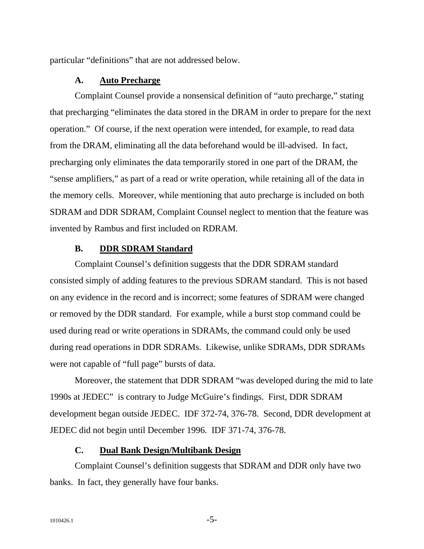particular "definitions" that are not addressed below.

#### **A. Auto Precharge**

Complaint Counsel provide a nonsensical definition of "auto precharge," stating that precharging "eliminates the data stored in the DRAM in order to prepare for the next operation." Of course, if the next operation were intended, for example, to read data from the DRAM, eliminating all the data beforehand would be ill-advised. In fact, precharging only eliminates the data temporarily stored in one part of the DRAM, the "sense amplifiers," as part of a read or write operation, while retaining all of the data in the memory cells. Moreover, while mentioning that auto precharge is included on both SDRAM and DDR SDRAM, Complaint Counsel neglect to mention that the feature was invented by Rambus and first included on RDRAM.

#### **B. DDR SDRAM Standard**

Complaint Counsel's definition suggests that the DDR SDRAM standard consisted simply of adding features to the previous SDRAM standard. This is not based on any evidence in the record and is incorrect; some features of SDRAM were changed or removed by the DDR standard. For example, while a burst stop command could be used during read or write operations in SDRAMs, the command could only be used during read operations in DDR SDRAMs. Likewise, unlike SDRAMs, DDR SDRAMs were not capable of "full page" bursts of data.

Moreover, the statement that DDR SDRAM "was developed during the mid to late 1990s at JEDEC" is contrary to Judge McGuire's findings. First, DDR SDRAM development began outside JEDEC. IDF 372-74, 376-78. Second, DDR development at JEDEC did not begin until December 1996. IDF 371-74, 376-78.

#### **C. Dual Bank Design/Multibank Design**

Complaint Counsel's definition suggests that SDRAM and DDR only have two banks. In fact, they generally have four banks.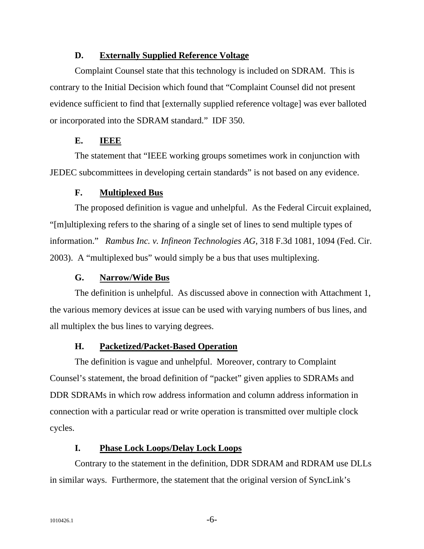### **D. Externally Supplied Reference Voltage**

Complaint Counsel state that this technology is included on SDRAM. This is contrary to the Initial Decision which found that "Complaint Counsel did not present evidence sufficient to find that [externally supplied reference voltage] was ever balloted or incorporated into the SDRAM standard." IDF 350.

### **E. IEEE**

The statement that "IEEE working groups sometimes work in conjunction with JEDEC subcommittees in developing certain standards" is not based on any evidence.

#### **F. Multiplexed Bus**

The proposed definition is vague and unhelpful. As the Federal Circuit explained, "[m]ultiplexing refers to the sharing of a single set of lines to send multiple types of information." *Rambus Inc. v. Infineon Technologies AG*, 318 F.3d 1081, 1094 (Fed. Cir. 2003). A "multiplexed bus" would simply be a bus that uses multiplexing.

#### **G. Narrow/Wide Bus**

The definition is unhelpful. As discussed above in connection with Attachment 1, the various memory devices at issue can be used with varying numbers of bus lines, and all multiplex the bus lines to varying degrees.

#### **H. Packetized/Packet-Based Operation**

The definition is vague and unhelpful. Moreover, contrary to Complaint Counsel's statement, the broad definition of "packet" given applies to SDRAMs and DDR SDRAMs in which row address information and column address information in connection with a particular read or write operation is transmitted over multiple clock cycles.

#### **I. Phase Lock Loops/Delay Lock Loops**

Contrary to the statement in the definition, DDR SDRAM and RDRAM use DLLs in similar ways. Furthermore, the statement that the original version of SyncLink's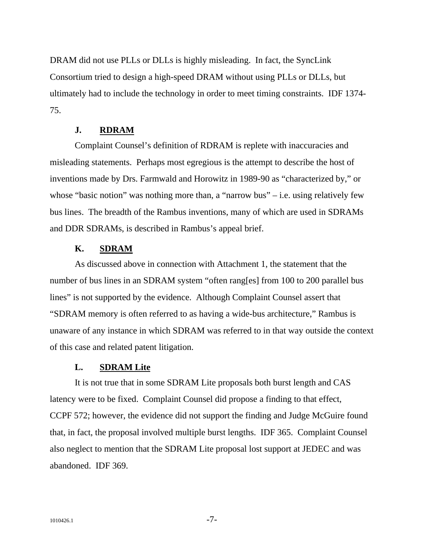DRAM did not use PLLs or DLLs is highly misleading. In fact, the SyncLink Consortium tried to design a high-speed DRAM without using PLLs or DLLs, but ultimately had to include the technology in order to meet timing constraints. IDF 1374- 75.

### **J. RDRAM**

Complaint Counsel's definition of RDRAM is replete with inaccuracies and misleading statements. Perhaps most egregious is the attempt to describe the host of inventions made by Drs. Farmwald and Horowitz in 1989-90 as "characterized by," or whose "basic notion" was nothing more than, a "narrow bus" – i.e. using relatively few bus lines. The breadth of the Rambus inventions, many of which are used in SDRAMs and DDR SDRAMs, is described in Rambus's appeal brief.

## **K. SDRAM**

As discussed above in connection with Attachment 1, the statement that the number of bus lines in an SDRAM system "often rang[es] from 100 to 200 parallel bus lines" is not supported by the evidence. Although Complaint Counsel assert that "SDRAM memory is often referred to as having a wide-bus architecture," Rambus is unaware of any instance in which SDRAM was referred to in that way outside the context of this case and related patent litigation.

### **L. SDRAM Lite**

It is not true that in some SDRAM Lite proposals both burst length and CAS latency were to be fixed. Complaint Counsel did propose a finding to that effect, CCPF 572; however, the evidence did not support the finding and Judge McGuire found that, in fact, the proposal involved multiple burst lengths. IDF 365. Complaint Counsel also neglect to mention that the SDRAM Lite proposal lost support at JEDEC and was abandoned. IDF 369.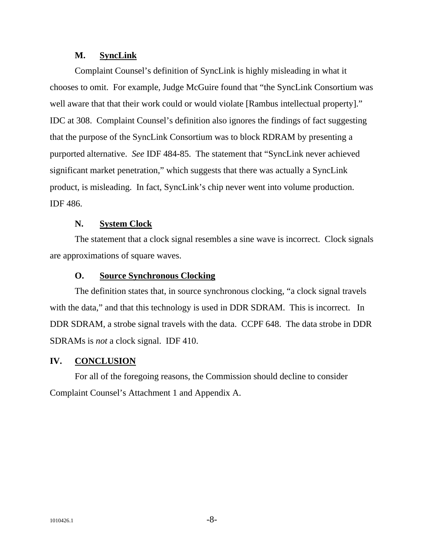## **M. SyncLink**

Complaint Counsel's definition of SyncLink is highly misleading in what it chooses to omit. For example, Judge McGuire found that "the SyncLink Consortium was well aware that that their work could or would violate [Rambus intellectual property]." IDC at 308. Complaint Counsel's definition also ignores the findings of fact suggesting that the purpose of the SyncLink Consortium was to block RDRAM by presenting a purported alternative. *See* IDF 484-85. The statement that "SyncLink never achieved significant market penetration," which suggests that there was actually a SyncLink product, is misleading. In fact, SyncLink's chip never went into volume production. IDF 486.

## **N. System Clock**

The statement that a clock signal resembles a sine wave is incorrect. Clock signals are approximations of square waves.

### **O. Source Synchronous Clocking**

The definition states that, in source synchronous clocking, "a clock signal travels with the data," and that this technology is used in DDR SDRAM. This is incorrect. In DDR SDRAM, a strobe signal travels with the data. CCPF 648. The data strobe in DDR SDRAMs is *not* a clock signal. IDF 410.

## **IV. CONCLUSION**

For all of the foregoing reasons, the Commission should decline to consider Complaint Counsel's Attachment 1 and Appendix A.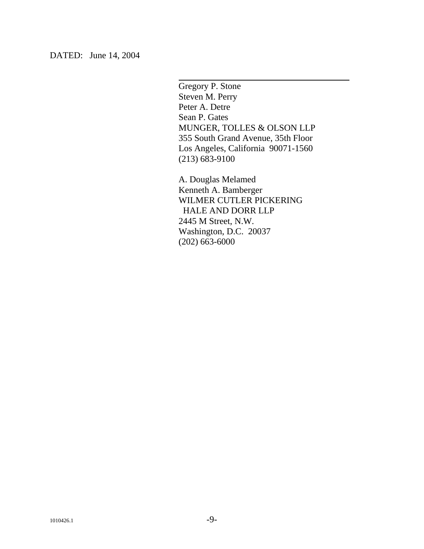DATED: June 14, 2004

Gregory P. Stone Steven M. Perry Peter A. Detre Sean P. Gates MUNGER, TOLLES & OLSON LLP 355 South Grand Avenue, 35th Floor Los Angeles, California 90071-1560 (213) 683-9100

 $\overline{a}$ 

A. Douglas Melamed Kenneth A. Bamberger WILMER CUTLER PICKERING HALE AND DORR LLP 2445 M Street, N.W. Washington, D.C. 20037 (202) 663-6000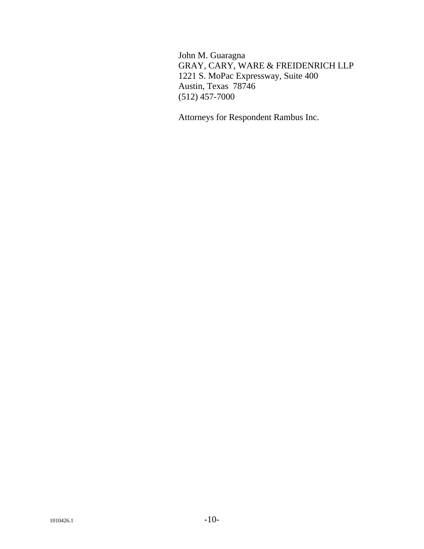John M. Guaragna GRAY, CARY, WARE & FREIDENRICH LLP 1221 S. MoPac Expressway, Suite 400 Austin, Texas 78746 (512) 457-7000

Attorneys for Respondent Rambus Inc.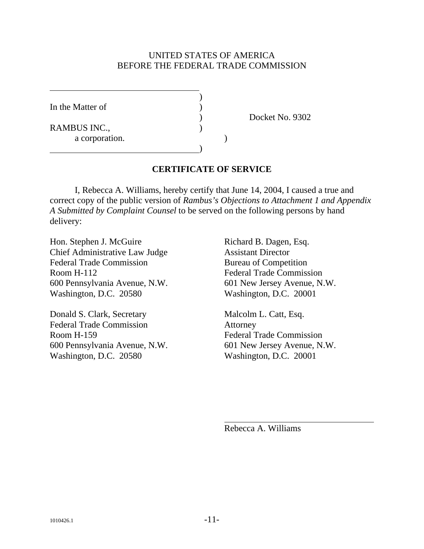## UNITED STATES OF AMERICA BEFORE THE FEDERAL TRADE COMMISSION

In the Matter of

 $\overline{a}$ 

RAMBUS INC., a corporation. )

 $\overline{\phantom{a}}$ 

) Docket No. 9302

# **CERTIFICATE OF SERVICE**

 I, Rebecca A. Williams, hereby certify that June 14, 2004, I caused a true and correct copy of the public version of *Rambus's Objections to Attachment 1 and Appendix A Submitted by Complaint Counsel* to be served on the following persons by hand delivery:

Hon. Stephen J. McGuire Richard B. Dagen, Esq. Chief Administrative Law Judge Assistant Director Federal Trade Commission Bureau of Competition Room H-112 Federal Trade Commission 600 Pennsylvania Avenue, N.W. 601 New Jersey Avenue, N.W. Washington, D.C. 20580 Washington, D.C. 20001

Donald S. Clark, Secretary Malcolm L. Catt, Esq. Federal Trade Commission Attorney Room H-159 Federal Trade Commission 600 Pennsylvania Avenue, N.W. 601 New Jersey Avenue, N.W. Washington, D.C. 20580 Washington, D.C. 20001

Rebecca A. Williams